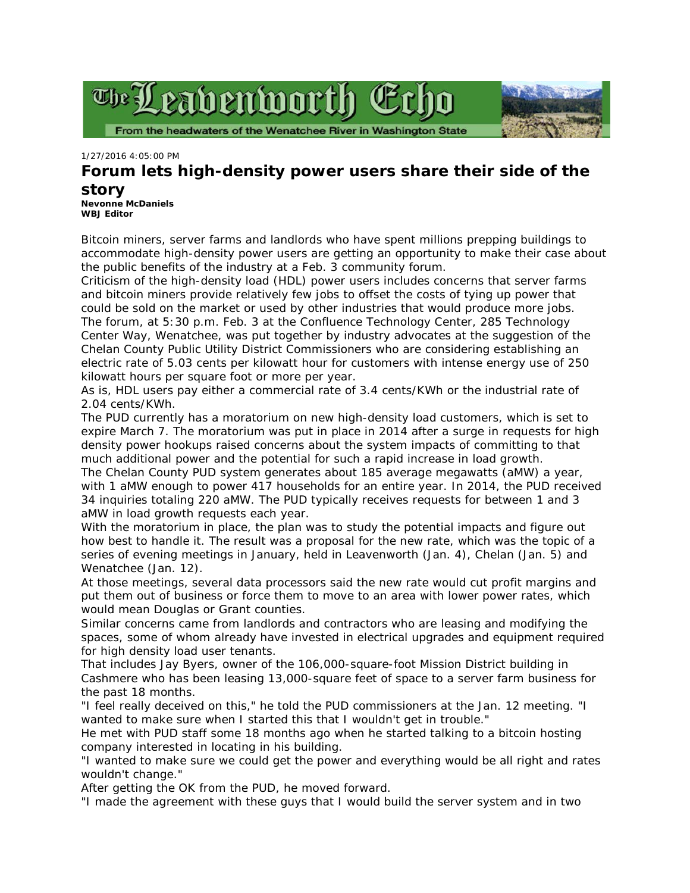



*1/27/2016 4:05:00 PM*

## **Forum lets high-density power users share their side of the story**

**[Nevonne McDaniels](mailto:wbjedtor@newsmedia.net) WBJ Editor**

Bitcoin miners, server farms and landlords who have spent millions prepping buildings to accommodate high-density power users are getting an opportunity to make their case about the public benefits of the industry at a Feb. 3 community forum.

Criticism of the high-density load (HDL) power users includes concerns that server farms and bitcoin miners provide relatively few jobs to offset the costs of tying up power that could be sold on the market or used by other industries that would produce more jobs. The forum, at 5:30 p.m. Feb. 3 at the Confluence Technology Center, 285 Technology Center Way, Wenatchee, was put together by industry advocates at the suggestion of the Chelan County Public Utility District Commissioners who are considering establishing an electric rate of 5.03 cents per kilowatt hour for customers with intense energy use of 250 kilowatt hours per square foot or more per year.

As is, HDL users pay either a commercial rate of 3.4 cents/KWh or the industrial rate of 2.04 cents/KWh.

The PUD currently has a moratorium on new high-density load customers, which is set to expire March 7. The moratorium was put in place in 2014 after a surge in requests for high density power hookups raised concerns about the system impacts of committing to that much additional power and the potential for such a rapid increase in load growth.

The Chelan County PUD system generates about 185 average megawatts (aMW) a year, with 1 aMW enough to power 417 households for an entire year. In 2014, the PUD received 34 inquiries totaling 220 aMW. The PUD typically receives requests for between 1 and 3 aMW in load growth requests each year.

With the moratorium in place, the plan was to study the potential impacts and figure out how best to handle it. The result was a proposal for the new rate, which was the topic of a series of evening meetings in January, held in Leavenworth (Jan. 4), Chelan (Jan. 5) and Wenatchee (Jan. 12).

At those meetings, several data processors said the new rate would cut profit margins and put them out of business or force them to move to an area with lower power rates, which would mean Douglas or Grant counties.

Similar concerns came from landlords and contractors who are leasing and modifying the spaces, some of whom already have invested in electrical upgrades and equipment required for high density load user tenants.

That includes Jay Byers, owner of the 106,000-square-foot Mission District building in Cashmere who has been leasing 13,000-square feet of space to a server farm business for the past 18 months.

"I feel really deceived on this," he told the PUD commissioners at the Jan. 12 meeting. "I wanted to make sure when I started this that I wouldn't get in trouble."

He met with PUD staff some 18 months ago when he started talking to a bitcoin hosting company interested in locating in his building.

"I wanted to make sure we could get the power and everything would be all right and rates wouldn't change."

After getting the OK from the PUD, he moved forward.

"I made the agreement with these guys that I would build the server system and in two